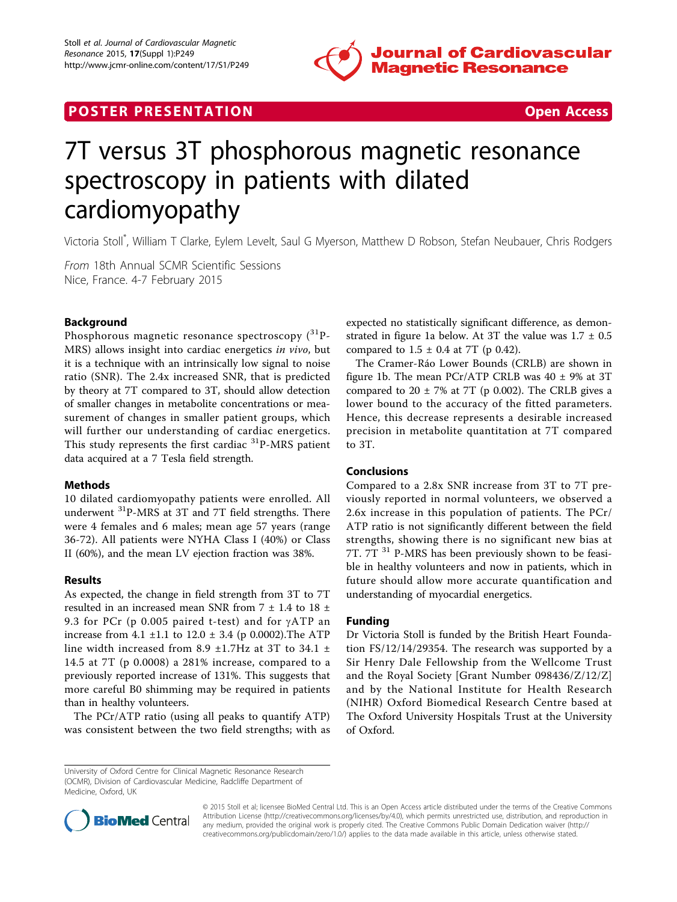

## **POSTER PRESENTATION CONSUMING THE SECOND CONSUMING THE SECOND CONSUMING THE SECOND CONSUMING THE SECOND CONSUMING THE SECOND CONSUMING THE SECOND CONSUMING THE SECOND CONSUMING THE SECOND CONSUMING THE SECOND CONSUMING**



# 7T versus 3T phosphorous magnetic resonance spectroscopy in patients with dilated cardiomyopathy

Victoria Stoll\* , William T Clarke, Eylem Levelt, Saul G Myerson, Matthew D Robson, Stefan Neubauer, Chris Rodgers

From 18th Annual SCMR Scientific Sessions Nice, France. 4-7 February 2015

#### Background

Phosphorous magnetic resonance spectroscopy  $\binom{31}{1}$ -MRS) allows insight into cardiac energetics in vivo, but it is a technique with an intrinsically low signal to noise ratio (SNR). The 2.4x increased SNR, that is predicted by theory at 7T compared to 3T, should allow detection of smaller changes in metabolite concentrations or measurement of changes in smaller patient groups, which will further our understanding of cardiac energetics. This study represents the first cardiac <sup>31</sup>P-MRS patient data acquired at a 7 Tesla field strength.

#### **Methods**

10 dilated cardiomyopathy patients were enrolled. All underwent 31P-MRS at 3T and 7T field strengths. There were 4 females and 6 males; mean age 57 years (range 36-72). All patients were NYHA Class I (40%) or Class II (60%), and the mean LV ejection fraction was 38%.

#### Results

As expected, the change in field strength from 3T to 7T resulted in an increased mean SNR from 7 ± 1.4 to 18 ± 9.3 for PCr (p 0.005 paired t-test) and for  $\gamma ATP$  an increase from 4.1  $\pm$ 1.1 to 12.0  $\pm$  3.4 (p 0.0002). The ATP line width increased from 8.9  $\pm$ 1.7Hz at 3T to 34.1  $\pm$ 14.5 at 7T (p 0.0008) a 281% increase, compared to a previously reported increase of 131%. This suggests that more careful B0 shimming may be required in patients than in healthy volunteers.

The PCr/ATP ratio (using all peaks to quantify ATP) was consistent between the two field strengths; with as

University of Oxford Centre for Clinical Magnetic Resonance Research (OCMR), Division of Cardiovascular Medicine, Radcliffe Department of Medicine, Oxford, UK

expected no statistically significant difference, as demon-strated in figure [1a](#page-1-0) below. At 3T the value was  $1.7 \pm 0.5$ compared to  $1.5 \pm 0.4$  at 7T (p 0.42).

The Cramer-Ráo Lower Bounds (CRLB) are shown in figure [1b](#page-1-0). The mean PCr/ATP CRLB was  $40 \pm 9\%$  at 3T compared to  $20 \pm 7\%$  at 7T (p 0.002). The CRLB gives a lower bound to the accuracy of the fitted parameters. Hence, this decrease represents a desirable increased precision in metabolite quantitation at 7T compared to 3T.

### Conclusions

Compared to a 2.8x SNR increase from 3T to 7T previously reported in normal volunteers, we observed a 2.6x increase in this population of patients. The PCr/ ATP ratio is not significantly different between the field strengths, showing there is no significant new bias at 7T. 7T <sup>31</sup> P-MRS has been previously shown to be feasible in healthy volunteers and now in patients, which in future should allow more accurate quantification and understanding of myocardial energetics.

### Funding

Dr Victoria Stoll is funded by the British Heart Foundation FS/12/14/29354. The research was supported by a Sir Henry Dale Fellowship from the Wellcome Trust and the Royal Society [Grant Number 098436/Z/12/Z] and by the National Institute for Health Research (NIHR) Oxford Biomedical Research Centre based at The Oxford University Hospitals Trust at the University of Oxford.



© 2015 Stoll et al; licensee BioMed Central Ltd. This is an Open Access article distributed under the terms of the Creative Commons Attribution License [\(http://creativecommons.org/licenses/by/4.0](http://creativecommons.org/licenses/by/4.0)), which permits unrestricted use, distribution, and reproduction in any medium, provided the original work is properly cited. The Creative Commons Public Domain Dedication waiver [\(http://](http://creativecommons.org/publicdomain/zero/1.0/) [creativecommons.org/publicdomain/zero/1.0/](http://creativecommons.org/publicdomain/zero/1.0/)) applies to the data made available in this article, unless otherwise stated.